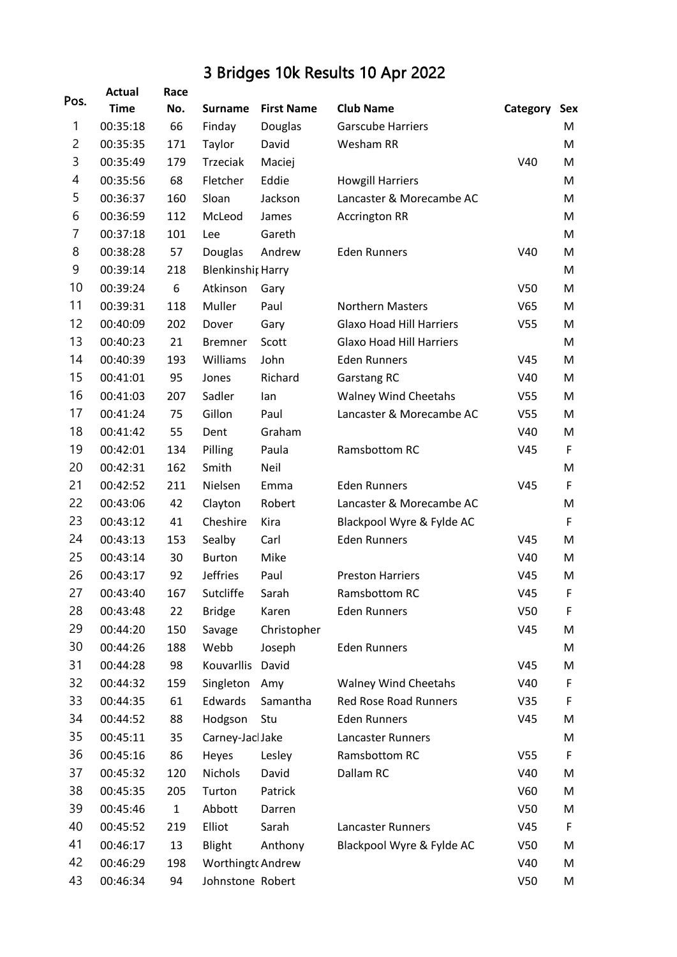## 3 Bridges 10k Results 10 Apr 2022

|                | <b>Actual</b> | Race         |                          |                   |                                 |                 |             |
|----------------|---------------|--------------|--------------------------|-------------------|---------------------------------|-----------------|-------------|
| Pos.           | <b>Time</b>   | No.          | <b>Surname</b>           | <b>First Name</b> | <b>Club Name</b>                | Category        | Sex         |
| 1              | 00:35:18      | 66           | Finday                   | Douglas           | <b>Garscube Harriers</b>        |                 | м           |
| $\overline{c}$ | 00:35:35      | 171          | Taylor                   | David             | Wesham RR                       |                 | M           |
| 3              | 00:35:49      | 179          | Trzeciak                 | Maciej            |                                 | V40             | м           |
| 4              | 00:35:56      | 68           | Fletcher                 | Eddie             | <b>Howgill Harriers</b>         |                 | M           |
| 5              | 00:36:37      | 160          | Sloan                    | Jackson           | Lancaster & Morecambe AC        |                 | M           |
| 6              | 00:36:59      | 112          | McLeod                   | James             | <b>Accrington RR</b>            |                 | М           |
| $\overline{7}$ | 00:37:18      | 101          | Lee                      | Gareth            |                                 |                 | M           |
| 8              | 00:38:28      | 57           | Douglas                  | Andrew            | <b>Eden Runners</b>             | V40             | M           |
| 9              | 00:39:14      | 218          | <b>Blenkinshit Harry</b> |                   |                                 |                 | М           |
| 10             | 00:39:24      | 6            | Atkinson                 | Gary              |                                 | V <sub>50</sub> | M           |
| 11             | 00:39:31      | 118          | Muller                   | Paul              | <b>Northern Masters</b>         | V65             | M           |
| 12             | 00:40:09      | 202          | Dover                    | Gary              | <b>Glaxo Hoad Hill Harriers</b> | V <sub>55</sub> | м           |
| 13             | 00:40:23      | 21           | <b>Bremner</b>           | Scott             | <b>Glaxo Hoad Hill Harriers</b> |                 | M           |
| 14             | 00:40:39      | 193          | Williams                 | John              | <b>Eden Runners</b>             | V45             | M           |
| 15             | 00:41:01      | 95           | Jones                    | Richard           | Garstang RC                     | V40             | M           |
| 16             | 00:41:03      | 207          | Sadler                   | lan               | <b>Walney Wind Cheetahs</b>     | V <sub>55</sub> | м           |
| 17             | 00:41:24      | 75           | Gillon                   | Paul              | Lancaster & Morecambe AC        | V <sub>55</sub> | M           |
| 18             | 00:41:42      | 55           | Dent                     | Graham            |                                 | V40             | M           |
| 19             | 00:42:01      | 134          | Pilling                  | Paula             | Ramsbottom RC                   | V45             | F           |
| 20             | 00:42:31      | 162          | Smith                    | Neil              |                                 |                 | M           |
| 21             | 00:42:52      | 211          | Nielsen                  | Emma              | <b>Eden Runners</b>             | V45             | $\mathsf F$ |
| 22             | 00:43:06      | 42           | Clayton                  | Robert            | Lancaster & Morecambe AC        |                 | M           |
| 23             | 00:43:12      | 41           | Cheshire                 | Kira              | Blackpool Wyre & Fylde AC       |                 | F           |
| 24             | 00:43:13      | 153          | Sealby                   | Carl              | <b>Eden Runners</b>             | V45             | M           |
| 25             | 00:43:14      | 30           | <b>Burton</b>            | Mike              |                                 | V40             | м           |
| 26             | 00:43:17      | 92           | <b>Jeffries</b>          | Paul              | <b>Preston Harriers</b>         | V45             | M           |
| 27             | 00:43:40      | 167          | Sutcliffe                | Sarah             | Ramsbottom RC                   | V45             | F           |
| 28             | 00:43:48      | 22           | <b>Bridge</b>            | Karen             | <b>Eden Runners</b>             | V <sub>50</sub> | F           |
| 29             | 00:44:20      | 150          | Savage                   | Christopher       |                                 | V45             | M           |
| 30             | 00:44:26      | 188          | Webb                     | Joseph            | <b>Eden Runners</b>             |                 | М           |
| 31             | 00:44:28      | 98           | Kouvarllis               | David             |                                 | V45             | M           |
| 32             | 00:44:32      | 159          | Singleton                | Amy               | <b>Walney Wind Cheetahs</b>     | V40             | F           |
| 33             | 00:44:35      | 61           | Edwards                  | Samantha          | <b>Red Rose Road Runners</b>    | V35             | F           |
| 34             | 00:44:52      | 88           | Hodgson                  | Stu               | <b>Eden Runners</b>             | V45             | M           |
| 35             | 00:45:11      | 35           | Carney-Jacl Jake         |                   | Lancaster Runners               |                 | M           |
| 36             | 00:45:16      | 86           | Heyes                    | Lesley            | Ramsbottom RC                   | V <sub>55</sub> | F           |
| 37             | 00:45:32      | 120          | Nichols                  | David             | Dallam RC                       | V40             | M           |
| 38             | 00:45:35      | 205          | Turton                   | Patrick           |                                 | V60             | M           |
| 39             | 00:45:46      | $\mathbf{1}$ | Abbott                   | Darren            |                                 | V <sub>50</sub> | M           |
| 40             | 00:45:52      | 219          | Elliot                   | Sarah             | <b>Lancaster Runners</b>        | V45             | F           |
| 41             | 00:46:17      | 13           | Blight                   | Anthony           | Blackpool Wyre & Fylde AC       | V <sub>50</sub> | M           |
| 42             | 00:46:29      | 198          | Worthingt Andrew         |                   |                                 | V40             | M           |
| 43             | 00:46:34      | 94           | Johnstone Robert         |                   |                                 | V50             | M           |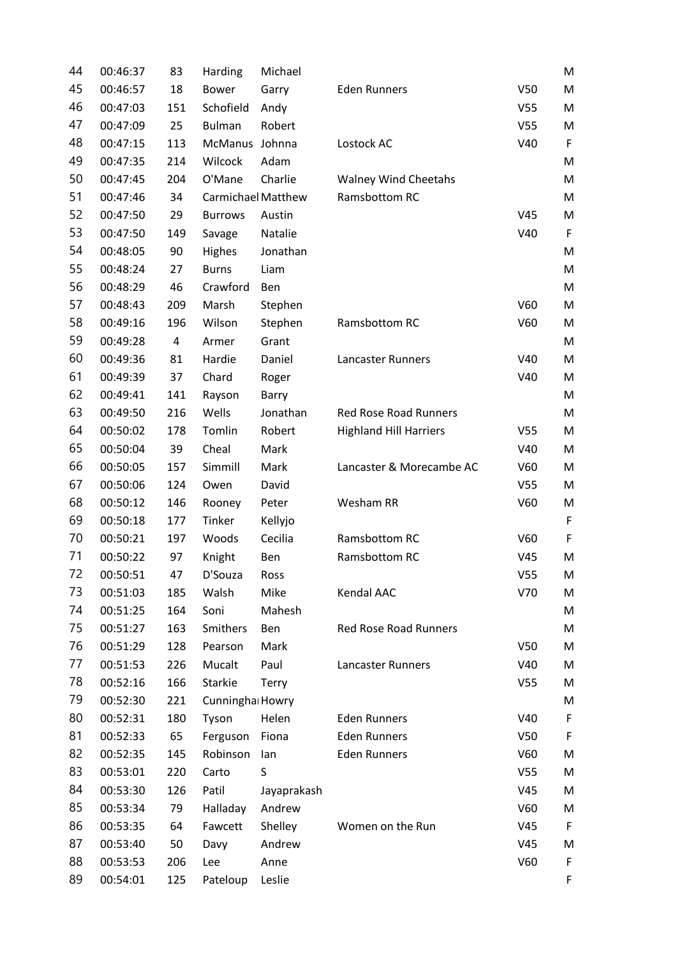| 44 | 00:46:37 | 83  | Harding                   | Michael     |                               |                 | M           |
|----|----------|-----|---------------------------|-------------|-------------------------------|-----------------|-------------|
| 45 | 00:46:57 | 18  | <b>Bower</b>              | Garry       | <b>Eden Runners</b>           | V <sub>50</sub> | M           |
| 46 | 00:47:03 | 151 | Schofield                 | Andy        |                               | V <sub>55</sub> | M           |
| 47 | 00:47:09 | 25  | <b>Bulman</b>             | Robert      |                               | V <sub>55</sub> | M           |
| 48 | 00:47:15 | 113 | McManus Johnna            |             | Lostock AC                    | V40             | F           |
| 49 | 00:47:35 | 214 | Wilcock                   | Adam        |                               |                 | M           |
| 50 | 00:47:45 | 204 | O'Mane                    | Charlie     | <b>Walney Wind Cheetahs</b>   |                 | M           |
| 51 | 00:47:46 | 34  | <b>Carmichael Matthew</b> |             | Ramsbottom RC                 |                 | M           |
| 52 | 00:47:50 | 29  | <b>Burrows</b>            | Austin      |                               | V45             | M           |
| 53 | 00:47:50 | 149 | Savage                    | Natalie     |                               | V40             | F           |
| 54 | 00:48:05 | 90  | Highes                    | Jonathan    |                               |                 | M           |
| 55 | 00:48:24 | 27  | <b>Burns</b>              | Liam        |                               |                 | M           |
| 56 | 00:48:29 | 46  | Crawford                  | Ben         |                               |                 | M           |
| 57 | 00:48:43 | 209 | Marsh                     | Stephen     |                               | V60             | M           |
| 58 | 00:49:16 | 196 | Wilson                    | Stephen     | Ramsbottom RC                 | V60             | M           |
| 59 | 00:49:28 | 4   | Armer                     | Grant       |                               |                 | M           |
| 60 | 00:49:36 | 81  | Hardie                    | Daniel      | Lancaster Runners             | V40             | M           |
| 61 | 00:49:39 | 37  | Chard                     | Roger       |                               | V40             | M           |
| 62 | 00:49:41 | 141 | Rayson                    | Barry       |                               |                 | M           |
| 63 | 00:49:50 | 216 | Wells                     | Jonathan    | <b>Red Rose Road Runners</b>  |                 | M           |
| 64 | 00:50:02 | 178 | Tomlin                    | Robert      | <b>Highland Hill Harriers</b> | V <sub>55</sub> | M           |
| 65 | 00:50:04 | 39  | Cheal                     | Mark        |                               | V40             | M           |
| 66 | 00:50:05 | 157 | Simmill                   | Mark        | Lancaster & Morecambe AC      | V60             | M           |
| 67 | 00:50:06 | 124 | Owen                      | David       |                               | V <sub>55</sub> | M           |
| 68 | 00:50:12 | 146 | Rooney                    | Peter       | Wesham RR                     | V60             | M           |
| 69 | 00:50:18 | 177 | Tinker                    | Kellyjo     |                               |                 | $\mathsf F$ |
| 70 | 00:50:21 | 197 | Woods                     | Cecilia     | Ramsbottom RC                 | V60             | F           |
| 71 | 00:50:22 | 97  | Knight                    | Ben         | Ramsbottom RC                 | V45             | M           |
| 72 | 00:50:51 | 47  | D'Souza                   | Ross        |                               | V <sub>55</sub> | M           |
| 73 | 00:51:03 | 185 | Walsh                     | Mike        | Kendal AAC                    | V70             | M           |
| 74 | 00:51:25 | 164 | Soni                      | Mahesh      |                               |                 | M           |
| 75 | 00:51:27 | 163 | Smithers                  | Ben         | <b>Red Rose Road Runners</b>  |                 | M           |
| 76 | 00:51:29 | 128 | Pearson                   | Mark        |                               | <b>V50</b>      | M           |
| 77 | 00:51:53 | 226 | Mucalt                    | Paul        | Lancaster Runners             | V40             | M           |
| 78 | 00:52:16 | 166 | Starkie                   | Terry       |                               | V <sub>55</sub> | M           |
| 79 | 00:52:30 | 221 | Cunningha Howry           |             |                               |                 | M           |
| 80 | 00:52:31 | 180 | Tyson                     | Helen       | <b>Eden Runners</b>           | V40             | $\mathsf F$ |
| 81 | 00:52:33 | 65  | Ferguson                  | Fiona       | <b>Eden Runners</b>           | V <sub>50</sub> | F           |
| 82 | 00:52:35 | 145 | Robinson                  | lan         | <b>Eden Runners</b>           | V60             | M           |
| 83 | 00:53:01 | 220 | Carto                     | S           |                               | V <sub>55</sub> | M           |
| 84 | 00:53:30 | 126 | Patil                     | Jayaprakash |                               | V45             | M           |
| 85 | 00:53:34 | 79  | Halladay                  | Andrew      |                               | V60             | M           |
| 86 | 00:53:35 | 64  | Fawcett                   | Shelley     | Women on the Run              | V <sub>45</sub> | F           |
| 87 | 00:53:40 | 50  | Davy                      | Andrew      |                               | V <sub>45</sub> | M           |
| 88 | 00:53:53 | 206 | Lee                       | Anne        |                               | V60             | $\mathsf F$ |
| 89 | 00:54:01 | 125 | Pateloup                  | Leslie      |                               |                 | F           |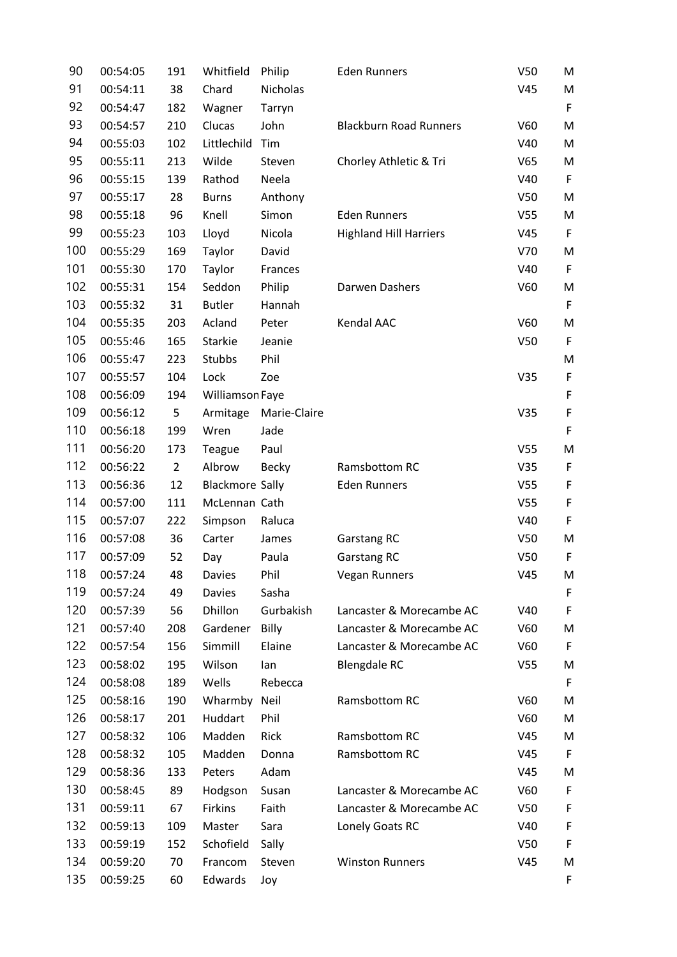| 90  | 00:54:05 | 191            | Whitfield              | Philip          | <b>Eden Runners</b>           | V <sub>50</sub> | M           |
|-----|----------|----------------|------------------------|-----------------|-------------------------------|-----------------|-------------|
| 91  | 00:54:11 | 38             | Chard                  | <b>Nicholas</b> |                               | V45             | M           |
| 92  | 00:54:47 | 182            | Wagner                 | Tarryn          |                               |                 | F           |
| 93  | 00:54:57 | 210            | Clucas                 | John            | <b>Blackburn Road Runners</b> | V60             | M           |
| 94  | 00:55:03 | 102            | Littlechild            | Tim             |                               | V40             | M           |
| 95  | 00:55:11 | 213            | Wilde                  | Steven          | Chorley Athletic & Tri        | V65             | M           |
| 96  | 00:55:15 | 139            | Rathod                 | Neela           |                               | V40             | $\mathsf F$ |
| 97  | 00:55:17 | 28             | <b>Burns</b>           | Anthony         |                               | V <sub>50</sub> | M           |
| 98  | 00:55:18 | 96             | Knell                  | Simon           | <b>Eden Runners</b>           | V <sub>55</sub> | M           |
| 99  | 00:55:23 | 103            | Lloyd                  | Nicola          | <b>Highland Hill Harriers</b> | V45             | $\mathsf F$ |
| 100 | 00:55:29 | 169            | Taylor                 | David           |                               | V70             | M           |
| 101 | 00:55:30 | 170            | Taylor                 | Frances         |                               | V40             | F           |
| 102 | 00:55:31 | 154            | Seddon                 | Philip          | Darwen Dashers                | V60             | M           |
| 103 | 00:55:32 | 31             | <b>Butler</b>          | Hannah          |                               |                 | F           |
| 104 | 00:55:35 | 203            | Acland                 | Peter           | Kendal AAC                    | V60             | M           |
| 105 | 00:55:46 | 165            | Starkie                | Jeanie          |                               | V <sub>50</sub> | F           |
| 106 | 00:55:47 | 223            | Stubbs                 | Phil            |                               |                 | M           |
| 107 | 00:55:57 | 104            | Lock                   | Zoe             |                               | V35             | $\mathsf F$ |
| 108 | 00:56:09 | 194            | Williamson Faye        |                 |                               |                 | $\mathsf F$ |
| 109 | 00:56:12 | 5              | Armitage               | Marie-Claire    |                               | V35             | F           |
| 110 | 00:56:18 | 199            | Wren                   | Jade            |                               |                 | $\mathsf F$ |
| 111 | 00:56:20 | 173            | Teague                 | Paul            |                               | V <sub>55</sub> | M           |
| 112 | 00:56:22 | $\overline{2}$ | Albrow                 | <b>Becky</b>    | Ramsbottom RC                 | V35             | F           |
| 113 | 00:56:36 | 12             | <b>Blackmore Sally</b> |                 | <b>Eden Runners</b>           | V <sub>55</sub> | F           |
| 114 | 00:57:00 | 111            | McLennan Cath          |                 |                               | V <sub>55</sub> | $\mathsf F$ |
| 115 | 00:57:07 | 222            | Simpson                | Raluca          |                               | V40             | $\mathsf F$ |
| 116 | 00:57:08 | 36             | Carter                 | James           | <b>Garstang RC</b>            | V <sub>50</sub> | M           |
| 117 | 00:57:09 | 52             | Day                    | Paula           | <b>Garstang RC</b>            | V <sub>50</sub> | F           |
| 118 | 00:57:24 | 48             | Davies                 | Phil            | <b>Vegan Runners</b>          | V45             | M           |
| 119 | 00:57:24 | 49             | <b>Davies</b>          | Sasha           |                               |                 | F           |
| 120 | 00:57:39 | 56             | Dhillon                | Gurbakish       | Lancaster & Morecambe AC      | V40             | F           |
| 121 | 00:57:40 | 208            | Gardener               | Billy           | Lancaster & Morecambe AC      | V60             | M           |
| 122 | 00:57:54 | 156            | Simmill                | Elaine          | Lancaster & Morecambe AC      | V60             | F           |
| 123 | 00:58:02 | 195            | Wilson                 | lan             | <b>Blengdale RC</b>           | V <sub>55</sub> | M           |
| 124 | 00:58:08 | 189            | Wells                  | Rebecca         |                               |                 | F           |
| 125 | 00:58:16 | 190            | Wharmby                | Neil            | Ramsbottom RC                 | V60             | M           |
| 126 | 00:58:17 | 201            | Huddart                | Phil            |                               | V60             | M           |
| 127 | 00:58:32 | 106            | Madden                 | Rick            | Ramsbottom RC                 | V45             | M           |
| 128 | 00:58:32 | 105            | Madden                 | Donna           | Ramsbottom RC                 | V45             | F           |
| 129 | 00:58:36 | 133            | Peters                 | Adam            |                               | V45             | M           |
| 130 | 00:58:45 | 89             | Hodgson                | Susan           | Lancaster & Morecambe AC      | V60             | F           |
| 131 | 00:59:11 | 67             | Firkins                | Faith           | Lancaster & Morecambe AC      | V <sub>50</sub> | F           |
| 132 | 00:59:13 | 109            | Master                 | Sara            | Lonely Goats RC               | V40             | F           |
| 133 | 00:59:19 | 152            | Schofield              | Sally           |                               | <b>V50</b>      | F           |
| 134 | 00:59:20 | 70             | Francom                | Steven          | <b>Winston Runners</b>        | V45             | M           |
| 135 | 00:59:25 | 60             | Edwards                | Joy             |                               |                 | F           |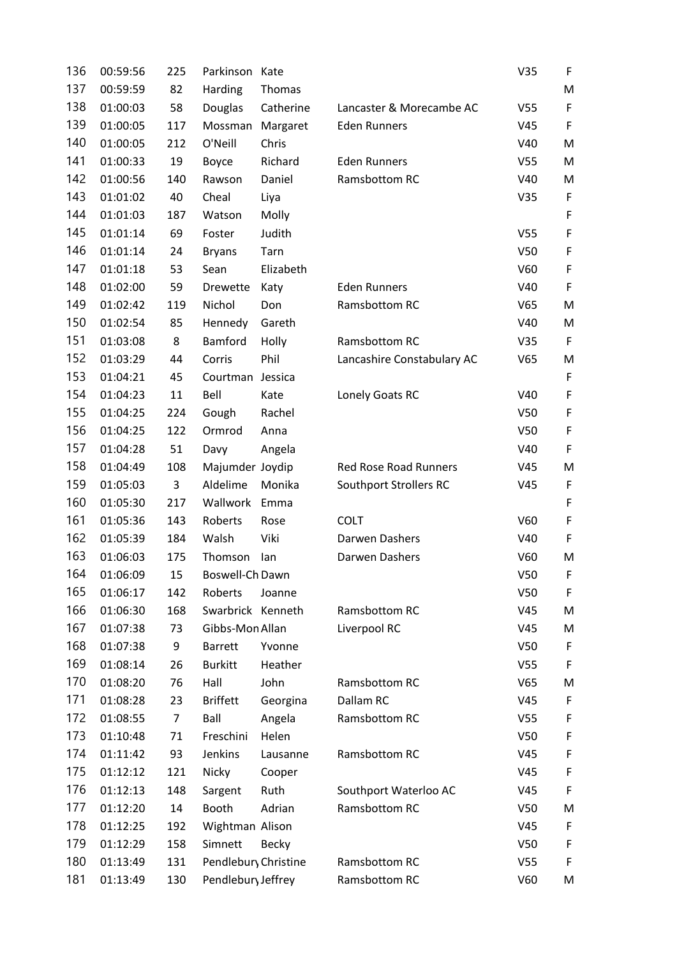| 136 | 00:59:56 | 225            | Parkinson            | Kate         |                              | V35             | F           |
|-----|----------|----------------|----------------------|--------------|------------------------------|-----------------|-------------|
| 137 | 00:59:59 | 82             | Harding              | Thomas       |                              |                 | M           |
| 138 | 01:00:03 | 58             | Douglas              | Catherine    | Lancaster & Morecambe AC     | V <sub>55</sub> | F           |
| 139 | 01:00:05 | 117            | Mossman              | Margaret     | <b>Eden Runners</b>          | V45             | $\mathsf F$ |
| 140 | 01:00:05 | 212            | O'Neill              | Chris        |                              | V40             | M           |
| 141 | 01:00:33 | 19             | Boyce                | Richard      | <b>Eden Runners</b>          | V <sub>55</sub> | M           |
| 142 | 01:00:56 | 140            | Rawson               | Daniel       | Ramsbottom RC                | V40             | M           |
| 143 | 01:01:02 | 40             | Cheal                | Liya         |                              | V35             | F           |
| 144 | 01:01:03 | 187            | Watson               | Molly        |                              |                 | $\mathsf F$ |
| 145 | 01:01:14 | 69             | Foster               | Judith       |                              | V <sub>55</sub> | $\mathsf F$ |
| 146 | 01:01:14 | 24             | <b>Bryans</b>        | Tarn         |                              | V <sub>50</sub> | F           |
| 147 | 01:01:18 | 53             | Sean                 | Elizabeth    |                              | V60             | $\mathsf F$ |
| 148 | 01:02:00 | 59             | Drewette             | Katy         | <b>Eden Runners</b>          | V40             | $\mathsf F$ |
| 149 | 01:02:42 | 119            | Nichol               | Don          | Ramsbottom RC                | V65             | M           |
| 150 | 01:02:54 | 85             | Hennedy              | Gareth       |                              | V40             | M           |
| 151 | 01:03:08 | 8              | Bamford              | Holly        | Ramsbottom RC                | V35             | F           |
| 152 | 01:03:29 | 44             | Corris               | Phil         | Lancashire Constabulary AC   | V65             | M           |
| 153 | 01:04:21 | 45             | Courtman Jessica     |              |                              |                 | $\mathsf F$ |
| 154 | 01:04:23 | 11             | Bell                 | Kate         | Lonely Goats RC              | V40             | $\mathsf F$ |
| 155 | 01:04:25 | 224            | Gough                | Rachel       |                              | V <sub>50</sub> | F           |
| 156 | 01:04:25 | 122            | Ormrod               | Anna         |                              | V <sub>50</sub> | $\mathsf F$ |
| 157 | 01:04:28 | 51             | Davy                 | Angela       |                              | V40             | $\mathsf F$ |
| 158 | 01:04:49 | 108            | Majumder Joydip      |              | <b>Red Rose Road Runners</b> | V45             | M           |
| 159 | 01:05:03 | 3              | Aldelime             | Monika       | Southport Strollers RC       | V45             | F           |
| 160 | 01:05:30 | 217            | Wallwork             | Emma         |                              |                 | $\mathsf F$ |
| 161 | 01:05:36 | 143            | Roberts              | Rose         | <b>COLT</b>                  | V60             | $\mathsf F$ |
| 162 | 01:05:39 | 184            | Walsh                | Viki         | Darwen Dashers               | V40             | F           |
| 163 | 01:06:03 | 175            | Thomson              | lan          | Darwen Dashers               | V60             | M           |
| 164 | 01:06:09 | 15             | Boswell-Ch Dawn      |              |                              | V50             | F           |
| 165 | 01:06:17 | 142            | Roberts              | Joanne       |                              | V <sub>50</sub> | F           |
| 166 | 01:06:30 | 168            | Swarbrick Kenneth    |              | Ramsbottom RC                | V45             | M           |
| 167 | 01:07:38 | 73             | Gibbs-Mon Allan      |              | Liverpool RC                 | V45             | M           |
| 168 | 01:07:38 | 9              | <b>Barrett</b>       | Yvonne       |                              | V <sub>50</sub> | F           |
| 169 | 01:08:14 | 26             | <b>Burkitt</b>       | Heather      |                              | V <sub>55</sub> | F           |
| 170 | 01:08:20 | 76             | Hall                 | John         | Ramsbottom RC                | V65             | M           |
| 171 | 01:08:28 | 23             | <b>Briffett</b>      | Georgina     | Dallam RC                    | V45             | F           |
| 172 | 01:08:55 | $\overline{7}$ | Ball                 | Angela       | Ramsbottom RC                | V <sub>55</sub> | F           |
| 173 | 01:10:48 | 71             | Freschini            | Helen        |                              | V <sub>50</sub> | F           |
| 174 | 01:11:42 | 93             | Jenkins              | Lausanne     | Ramsbottom RC                | V45             | F           |
| 175 | 01:12:12 | 121            | Nicky                | Cooper       |                              | V45             | F           |
| 176 | 01:12:13 | 148            | Sargent              | Ruth         | Southport Waterloo AC        | V45             | F           |
| 177 | 01:12:20 | 14             | Booth                | Adrian       | Ramsbottom RC                | V <sub>50</sub> | M           |
| 178 | 01:12:25 | 192            | Wightman Alison      |              |                              | V45             | F           |
| 179 | 01:12:29 | 158            | Simnett              | <b>Becky</b> |                              | V <sub>50</sub> | F           |
| 180 | 01:13:49 | 131            | Pendlebury Christine |              | Ramsbottom RC                | V <sub>55</sub> | F           |
| 181 | 01:13:49 | 130            | Pendlebury Jeffrey   |              | Ramsbottom RC                | V60             | M           |
|     |          |                |                      |              |                              |                 |             |